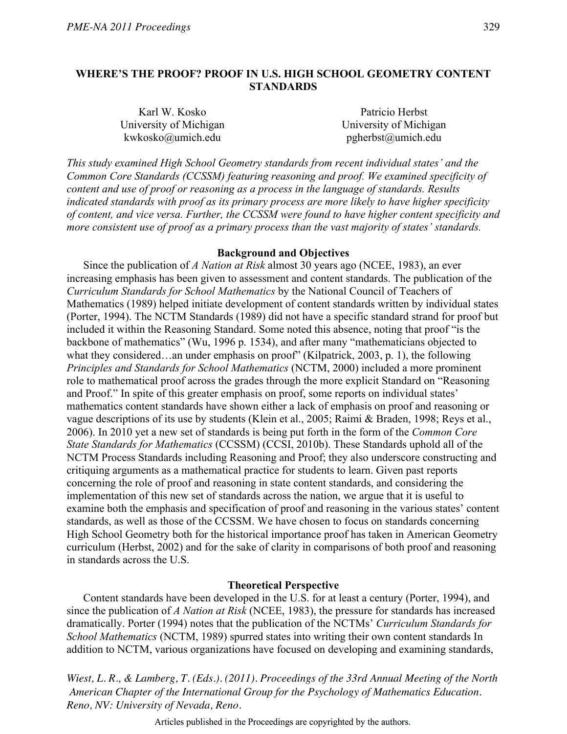# **WHERE'S THE PROOF? PROOF IN U.S. HIGH SCHOOL GEOMETRY CONTENT STANDARDS**

| Karl W. Kosko          | Patricio Herbst        |
|------------------------|------------------------|
| University of Michigan | University of Michigan |
| kwkosko@umich.edu      | pgherbst@umich.edu     |

*This study examined High School Geometry standards from recent individual states' and the Common Core Standards (CCSSM) featuring reasoning and proof. We examined specificity of content and use of proof or reasoning as a process in the language of standards. Results indicated standards with proof as its primary process are more likely to have higher specificity of content, and vice versa. Further, the CCSSM were found to have higher content specificity and more consistent use of proof as a primary process than the vast majority of states' standards.* 

# **Background and Objectives**

 Since the publication of *A Nation at Risk* almost 30 years ago (NCEE, 1983), an ever increasing emphasis has been given to assessment and content standards. The publication of the *Curriculum Standards for School Mathematics* by the National Council of Teachers of Mathematics (1989) helped initiate development of content standards written by individual states (Porter, 1994). The NCTM Standards (1989) did not have a specific standard strand for proof but included it within the Reasoning Standard. Some noted this absence, noting that proof "is the backbone of mathematics" (Wu, 1996 p. 1534), and after many "mathematicians objected to what they considered…an under emphasis on proof" (Kilpatrick, 2003, p. 1), the following *Principles and Standards for School Mathematics* (NCTM, 2000) included a more prominent role to mathematical proof across the grades through the more explicit Standard on "Reasoning and Proof." In spite of this greater emphasis on proof, some reports on individual states' mathematics content standards have shown either a lack of emphasis on proof and reasoning or vague descriptions of its use by students (Klein et al., 2005; Raimi & Braden, 1998; Reys et al., 2006). In 2010 yet a new set of standards is being put forth in the form of the *Common Core State Standards for Mathematics* (CCSSM) (CCSI, 2010b). These Standards uphold all of the NCTM Process Standards including Reasoning and Proof; they also underscore constructing and critiquing arguments as a mathematical practice for students to learn. Given past reports concerning the role of proof and reasoning in state content standards, and considering the implementation of this new set of standards across the nation, we argue that it is useful to examine both the emphasis and specification of proof and reasoning in the various states' content standards, as well as those of the CCSSM. We have chosen to focus on standards concerning High School Geometry both for the historical importance proof has taken in American Geometry curriculum (Herbst, 2002) and for the sake of clarity in comparisons of both proof and reasoning in standards across the U.S.

### **Theoretical Perspective**

 Content standards have been developed in the U.S. for at least a century (Porter, 1994), and since the publication of *A Nation at Risk* (NCEE, 1983), the pressure for standards has increased dramatically. Porter (1994) notes that the publication of the NCTMs' *Curriculum Standards for School Mathematics* (NCTM, 1989) spurred states into writing their own content standards In addition to NCTM, various organizations have focused on developing and examining standards,

*Wiest, L. R., & Lamberg, T. (Eds.). (2011). Proceedings of the 33rd Annual Meeting of the North American Chapter of the International Group for the Psychology of Mathematics Education. Reno, NV: University of Nevada, Reno.*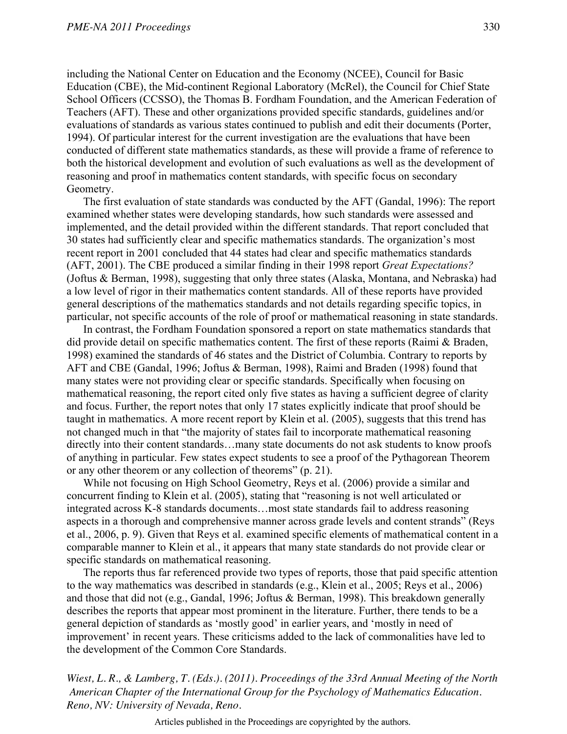including the National Center on Education and the Economy (NCEE), Council for Basic Education (CBE), the Mid-continent Regional Laboratory (McRel), the Council for Chief State School Officers (CCSSO), the Thomas B. Fordham Foundation, and the American Federation of Teachers (AFT). These and other organizations provided specific standards, guidelines and/or evaluations of standards as various states continued to publish and edit their documents (Porter, 1994). Of particular interest for the current investigation are the evaluations that have been conducted of different state mathematics standards, as these will provide a frame of reference to both the historical development and evolution of such evaluations as well as the development of reasoning and proof in mathematics content standards, with specific focus on secondary Geometry.

The first evaluation of state standards was conducted by the AFT (Gandal, 1996): The report examined whether states were developing standards, how such standards were assessed and implemented, and the detail provided within the different standards. That report concluded that 30 states had sufficiently clear and specific mathematics standards. The organization's most recent report in 2001 concluded that 44 states had clear and specific mathematics standards (AFT, 2001). The CBE produced a similar finding in their 1998 report *Great Expectations?* (Joftus & Berman, 1998), suggesting that only three states (Alaska, Montana, and Nebraska) had a low level of rigor in their mathematics content standards. All of these reports have provided general descriptions of the mathematics standards and not details regarding specific topics, in particular, not specific accounts of the role of proof or mathematical reasoning in state standards.

 In contrast, the Fordham Foundation sponsored a report on state mathematics standards that did provide detail on specific mathematics content. The first of these reports (Raimi & Braden, 1998) examined the standards of 46 states and the District of Columbia. Contrary to reports by AFT and CBE (Gandal, 1996; Joftus & Berman, 1998), Raimi and Braden (1998) found that many states were not providing clear or specific standards. Specifically when focusing on mathematical reasoning, the report cited only five states as having a sufficient degree of clarity and focus. Further, the report notes that only 17 states explicitly indicate that proof should be taught in mathematics. A more recent report by Klein et al. (2005), suggests that this trend has not changed much in that "the majority of states fail to incorporate mathematical reasoning directly into their content standards…many state documents do not ask students to know proofs of anything in particular. Few states expect students to see a proof of the Pythagorean Theorem or any other theorem or any collection of theorems" (p. 21).

 While not focusing on High School Geometry, Reys et al. (2006) provide a similar and concurrent finding to Klein et al. (2005), stating that "reasoning is not well articulated or integrated across K-8 standards documents…most state standards fail to address reasoning aspects in a thorough and comprehensive manner across grade levels and content strands" (Reys et al., 2006, p. 9). Given that Reys et al. examined specific elements of mathematical content in a comparable manner to Klein et al., it appears that many state standards do not provide clear or specific standards on mathematical reasoning.

 The reports thus far referenced provide two types of reports, those that paid specific attention to the way mathematics was described in standards (e.g., Klein et al., 2005; Reys et al., 2006) and those that did not (e.g., Gandal, 1996; Joftus & Berman, 1998). This breakdown generally describes the reports that appear most prominent in the literature. Further, there tends to be a general depiction of standards as 'mostly good' in earlier years, and 'mostly in need of improvement' in recent years. These criticisms added to the lack of commonalities have led to the development of the Common Core Standards.

*Wiest, L. R., & Lamberg, T. (Eds.). (2011). Proceedings of the 33rd Annual Meeting of the North American Chapter of the International Group for the Psychology of Mathematics Education. Reno, NV: University of Nevada, Reno.*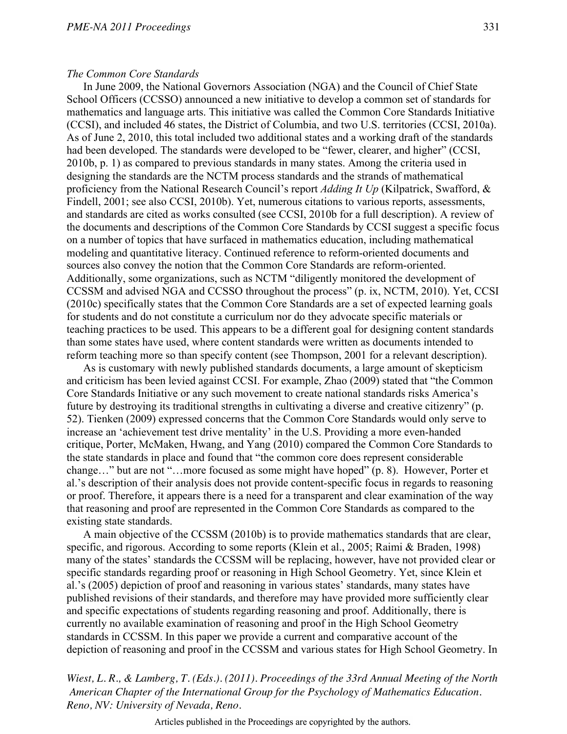# *The Common Core Standards*

 In June 2009, the National Governors Association (NGA) and the Council of Chief State School Officers (CCSSO) announced a new initiative to develop a common set of standards for mathematics and language arts. This initiative was called the Common Core Standards Initiative (CCSI), and included 46 states, the District of Columbia, and two U.S. territories (CCSI, 2010a). As of June 2, 2010, this total included two additional states and a working draft of the standards had been developed. The standards were developed to be "fewer, clearer, and higher" (CCSI, 2010b, p. 1) as compared to previous standards in many states. Among the criteria used in designing the standards are the NCTM process standards and the strands of mathematical proficiency from the National Research Council's report *Adding It Up* (Kilpatrick, Swafford, & Findell, 2001; see also CCSI, 2010b). Yet, numerous citations to various reports, assessments, and standards are cited as works consulted (see CCSI, 2010b for a full description). A review of the documents and descriptions of the Common Core Standards by CCSI suggest a specific focus on a number of topics that have surfaced in mathematics education, including mathematical modeling and quantitative literacy. Continued reference to reform-oriented documents and sources also convey the notion that the Common Core Standards are reform-oriented. Additionally, some organizations, such as NCTM "diligently monitored the development of CCSSM and advised NGA and CCSSO throughout the process" (p. ix, NCTM, 2010). Yet, CCSI (2010c) specifically states that the Common Core Standards are a set of expected learning goals for students and do not constitute a curriculum nor do they advocate specific materials or teaching practices to be used. This appears to be a different goal for designing content standards than some states have used, where content standards were written as documents intended to reform teaching more so than specify content (see Thompson, 2001 for a relevant description).

 As is customary with newly published standards documents, a large amount of skepticism and criticism has been levied against CCSI. For example, Zhao (2009) stated that "the Common Core Standards Initiative or any such movement to create national standards risks America's future by destroying its traditional strengths in cultivating a diverse and creative citizenry" (p. 52). Tienken (2009) expressed concerns that the Common Core Standards would only serve to increase an 'achievement test drive mentality' in the U.S. Providing a more even-handed critique, Porter, McMaken, Hwang, and Yang (2010) compared the Common Core Standards to the state standards in place and found that "the common core does represent considerable change…" but are not "…more focused as some might have hoped" (p. 8). However, Porter et al.'s description of their analysis does not provide content-specific focus in regards to reasoning or proof. Therefore, it appears there is a need for a transparent and clear examination of the way that reasoning and proof are represented in the Common Core Standards as compared to the existing state standards.

 A main objective of the CCSSM (2010b) is to provide mathematics standards that are clear, specific, and rigorous. According to some reports (Klein et al., 2005; Raimi & Braden, 1998) many of the states' standards the CCSSM will be replacing, however, have not provided clear or specific standards regarding proof or reasoning in High School Geometry. Yet, since Klein et al.'s (2005) depiction of proof and reasoning in various states' standards, many states have published revisions of their standards, and therefore may have provided more sufficiently clear and specific expectations of students regarding reasoning and proof. Additionally, there is currently no available examination of reasoning and proof in the High School Geometry standards in CCSSM. In this paper we provide a current and comparative account of the depiction of reasoning and proof in the CCSSM and various states for High School Geometry. In

*Wiest, L. R., & Lamberg, T. (Eds.). (2011). Proceedings of the 33rd Annual Meeting of the North American Chapter of the International Group for the Psychology of Mathematics Education. Reno, NV: University of Nevada, Reno.*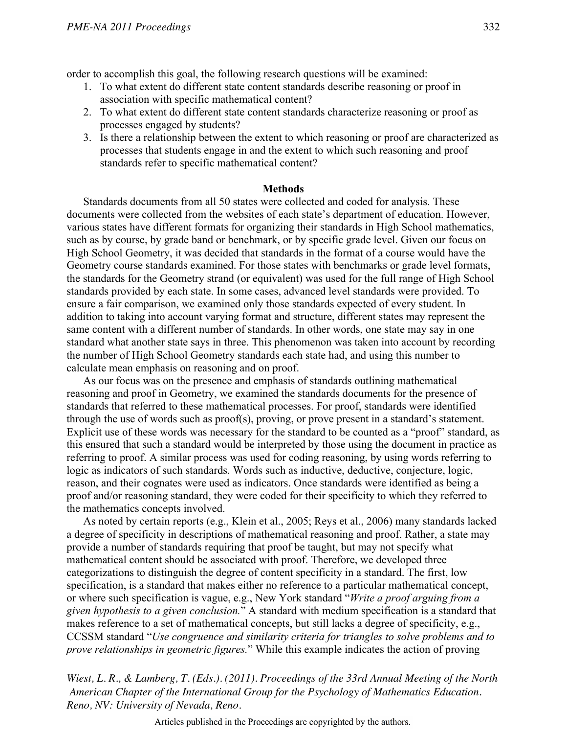order to accomplish this goal, the following research questions will be examined:

- 1. To what extent do different state content standards describe reasoning or proof in association with specific mathematical content?
- 2. To what extent do different state content standards characterize reasoning or proof as processes engaged by students?
- 3. Is there a relationship between the extent to which reasoning or proof are characterized as processes that students engage in and the extent to which such reasoning and proof standards refer to specific mathematical content?

## **Methods**

Standards documents from all 50 states were collected and coded for analysis. These documents were collected from the websites of each state's department of education. However, various states have different formats for organizing their standards in High School mathematics, such as by course, by grade band or benchmark, or by specific grade level. Given our focus on High School Geometry, it was decided that standards in the format of a course would have the Geometry course standards examined. For those states with benchmarks or grade level formats, the standards for the Geometry strand (or equivalent) was used for the full range of High School standards provided by each state. In some cases, advanced level standards were provided. To ensure a fair comparison, we examined only those standards expected of every student. In addition to taking into account varying format and structure, different states may represent the same content with a different number of standards. In other words, one state may say in one standard what another state says in three. This phenomenon was taken into account by recording the number of High School Geometry standards each state had, and using this number to calculate mean emphasis on reasoning and on proof.

 As our focus was on the presence and emphasis of standards outlining mathematical reasoning and proof in Geometry, we examined the standards documents for the presence of standards that referred to these mathematical processes. For proof, standards were identified through the use of words such as proof(s), proving, or prove present in a standard's statement. Explicit use of these words was necessary for the standard to be counted as a "proof" standard, as this ensured that such a standard would be interpreted by those using the document in practice as referring to proof. A similar process was used for coding reasoning, by using words referring to logic as indicators of such standards. Words such as inductive, deductive, conjecture, logic, reason, and their cognates were used as indicators. Once standards were identified as being a proof and/or reasoning standard, they were coded for their specificity to which they referred to the mathematics concepts involved.

 As noted by certain reports (e.g., Klein et al., 2005; Reys et al., 2006) many standards lacked a degree of specificity in descriptions of mathematical reasoning and proof. Rather, a state may provide a number of standards requiring that proof be taught, but may not specify what mathematical content should be associated with proof. Therefore, we developed three categorizations to distinguish the degree of content specificity in a standard. The first, low specification, is a standard that makes either no reference to a particular mathematical concept, or where such specification is vague, e.g., New York standard "*Write a proof arguing from a given hypothesis to a given conclusion.*" A standard with medium specification is a standard that makes reference to a set of mathematical concepts, but still lacks a degree of specificity, e.g., CCSSM standard "*Use congruence and similarity criteria for triangles to solve problems and to prove relationships in geometric figures.*" While this example indicates the action of proving

*Wiest, L. R., & Lamberg, T. (Eds.). (2011). Proceedings of the 33rd Annual Meeting of the North American Chapter of the International Group for the Psychology of Mathematics Education. Reno, NV: University of Nevada, Reno.*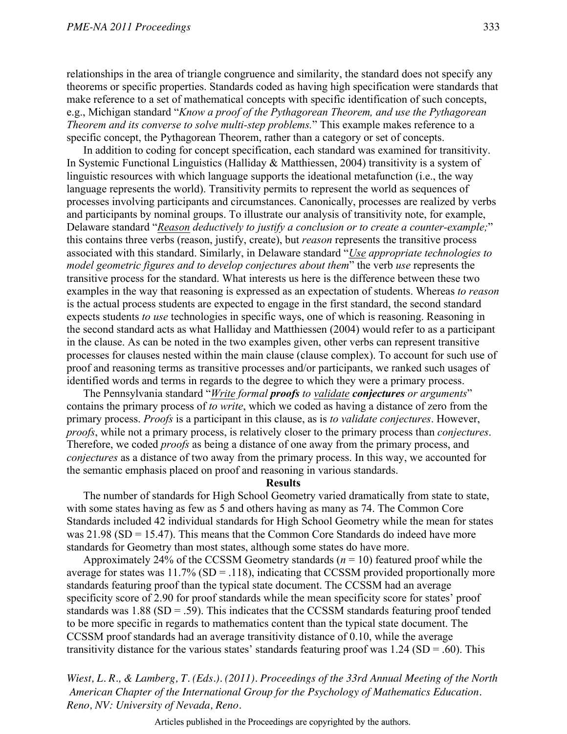relationships in the area of triangle congruence and similarity, the standard does not specify any theorems or specific properties. Standards coded as having high specification were standards that make reference to a set of mathematical concepts with specific identification of such concepts, e.g., Michigan standard "*Know a proof of the Pythagorean Theorem, and use the Pythagorean Theorem and its converse to solve multi-step problems.*" This example makes reference to a specific concept, the Pythagorean Theorem, rather than a category or set of concepts.

 In addition to coding for concept specification, each standard was examined for transitivity. In Systemic Functional Linguistics (Halliday & Matthiessen, 2004) transitivity is a system of linguistic resources with which language supports the ideational metafunction (i.e., the way language represents the world). Transitivity permits to represent the world as sequences of processes involving participants and circumstances. Canonically, processes are realized by verbs and participants by nominal groups. To illustrate our analysis of transitivity note, for example, Delaware standard "*Reason deductively to justify a conclusion or to create a counter-example;*" this contains three verbs (reason, justify, create), but *reason* represents the transitive process associated with this standard. Similarly, in Delaware standard "*Use appropriate technologies to model geometric figures and to develop conjectures about them*" the verb *use* represents the transitive process for the standard. What interests us here is the difference between these two examples in the way that reasoning is expressed as an expectation of students. Whereas *to reason* is the actual process students are expected to engage in the first standard, the second standard expects students *to use* technologies in specific ways, one of which is reasoning. Reasoning in the second standard acts as what Halliday and Matthiessen (2004) would refer to as a participant in the clause. As can be noted in the two examples given, other verbs can represent transitive processes for clauses nested within the main clause (clause complex). To account for such use of proof and reasoning terms as transitive processes and/or participants, we ranked such usages of identified words and terms in regards to the degree to which they were a primary process.

 The Pennsylvania standard "*Write formal proofs to validate conjectures or arguments*" contains the primary process of *to write*, which we coded as having a distance of zero from the primary process. *Proofs* is a participant in this clause, as is *to validate conjectures*. However, *proofs*, while not a primary process, is relatively closer to the primary process than *conjectures*. Therefore, we coded *proofs* as being a distance of one away from the primary process, and *conjectures* as a distance of two away from the primary process. In this way, we accounted for the semantic emphasis placed on proof and reasoning in various standards.

### **Results**

 The number of standards for High School Geometry varied dramatically from state to state, with some states having as few as 5 and others having as many as 74. The Common Core Standards included 42 individual standards for High School Geometry while the mean for states was  $21.98$  (SD = 15.47). This means that the Common Core Standards do indeed have more standards for Geometry than most states, although some states do have more.

Approximately 24% of the CCSSM Geometry standards  $(n = 10)$  featured proof while the average for states was  $11.7\%$  (SD = .118), indicating that CCSSM provided proportionally more standards featuring proof than the typical state document. The CCSSM had an average specificity score of 2.90 for proof standards while the mean specificity score for states' proof standards was  $1.88$  (SD = .59). This indicates that the CCSSM standards featuring proof tended to be more specific in regards to mathematics content than the typical state document. The CCSSM proof standards had an average transitivity distance of 0.10, while the average transitivity distance for the various states' standards featuring proof was  $1.24$  (SD = .60). This

*Wiest, L. R., & Lamberg, T. (Eds.). (2011). Proceedings of the 33rd Annual Meeting of the North American Chapter of the International Group for the Psychology of Mathematics Education. Reno, NV: University of Nevada, Reno.*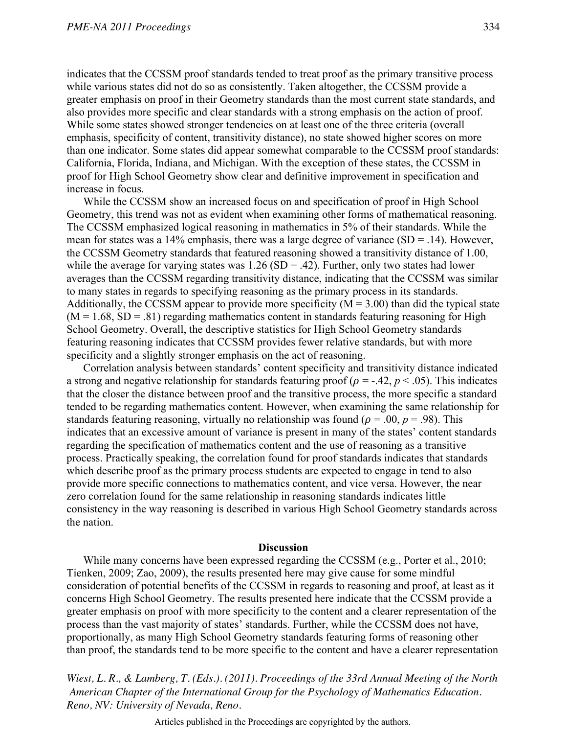indicates that the CCSSM proof standards tended to treat proof as the primary transitive process while various states did not do so as consistently. Taken altogether, the CCSSM provide a greater emphasis on proof in their Geometry standards than the most current state standards, and also provides more specific and clear standards with a strong emphasis on the action of proof. While some states showed stronger tendencies on at least one of the three criteria (overall emphasis, specificity of content, transitivity distance), no state showed higher scores on more than one indicator. Some states did appear somewhat comparable to the CCSSM proof standards: California, Florida, Indiana, and Michigan. With the exception of these states, the CCSSM in proof for High School Geometry show clear and definitive improvement in specification and increase in focus.

 While the CCSSM show an increased focus on and specification of proof in High School Geometry, this trend was not as evident when examining other forms of mathematical reasoning. The CCSSM emphasized logical reasoning in mathematics in 5% of their standards. While the mean for states was a 14% emphasis, there was a large degree of variance  $(SD = .14)$ . However, the CCSSM Geometry standards that featured reasoning showed a transitivity distance of 1.00, while the average for varying states was  $1.26$  (SD = .42). Further, only two states had lower averages than the CCSSM regarding transitivity distance, indicating that the CCSSM was similar to many states in regards to specifying reasoning as the primary process in its standards. Additionally, the CCSSM appear to provide more specificity  $(M = 3.00)$  than did the typical state  $(M = 1.68, SD = .81)$  regarding mathematics content in standards featuring reasoning for High School Geometry. Overall, the descriptive statistics for High School Geometry standards featuring reasoning indicates that CCSSM provides fewer relative standards, but with more specificity and a slightly stronger emphasis on the act of reasoning.

 Correlation analysis between standards' content specificity and transitivity distance indicated a strong and negative relationship for standards featuring proof ( $\rho = -.42$ ,  $p < .05$ ). This indicates that the closer the distance between proof and the transitive process, the more specific a standard tended to be regarding mathematics content. However, when examining the same relationship for standards featuring reasoning, virtually no relationship was found ( $\rho = .00$ ,  $p = .98$ ). This indicates that an excessive amount of variance is present in many of the states' content standards regarding the specification of mathematics content and the use of reasoning as a transitive process. Practically speaking, the correlation found for proof standards indicates that standards which describe proof as the primary process students are expected to engage in tend to also provide more specific connections to mathematics content, and vice versa. However, the near zero correlation found for the same relationship in reasoning standards indicates little consistency in the way reasoning is described in various High School Geometry standards across the nation.

## **Discussion**

 While many concerns have been expressed regarding the CCSSM (e.g., Porter et al., 2010; Tienken, 2009; Zao, 2009), the results presented here may give cause for some mindful consideration of potential benefits of the CCSSM in regards to reasoning and proof, at least as it concerns High School Geometry. The results presented here indicate that the CCSSM provide a greater emphasis on proof with more specificity to the content and a clearer representation of the process than the vast majority of states' standards. Further, while the CCSSM does not have, proportionally, as many High School Geometry standards featuring forms of reasoning other than proof, the standards tend to be more specific to the content and have a clearer representation

*Wiest, L. R., & Lamberg, T. (Eds.). (2011). Proceedings of the 33rd Annual Meeting of the North American Chapter of the International Group for the Psychology of Mathematics Education. Reno, NV: University of Nevada, Reno.*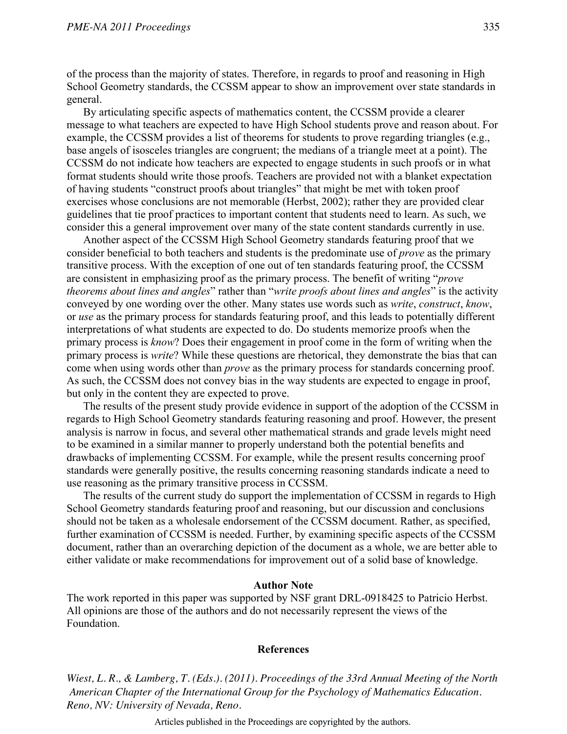of the process than the majority of states. Therefore, in regards to proof and reasoning in High School Geometry standards, the CCSSM appear to show an improvement over state standards in general.

 By articulating specific aspects of mathematics content, the CCSSM provide a clearer message to what teachers are expected to have High School students prove and reason about. For example, the CCSSM provides a list of theorems for students to prove regarding triangles (e.g., base angels of isosceles triangles are congruent; the medians of a triangle meet at a point). The CCSSM do not indicate how teachers are expected to engage students in such proofs or in what format students should write those proofs. Teachers are provided not with a blanket expectation of having students "construct proofs about triangles" that might be met with token proof exercises whose conclusions are not memorable (Herbst, 2002); rather they are provided clear guidelines that tie proof practices to important content that students need to learn. As such, we consider this a general improvement over many of the state content standards currently in use.

 Another aspect of the CCSSM High School Geometry standards featuring proof that we consider beneficial to both teachers and students is the predominate use of *prove* as the primary transitive process. With the exception of one out of ten standards featuring proof, the CCSSM are consistent in emphasizing proof as the primary process. The benefit of writing "*prove theorems about lines and angles*" rather than "*write proofs about lines and angles*" is the activity conveyed by one wording over the other. Many states use words such as *write*, *construct*, *know*, or *use* as the primary process for standards featuring proof, and this leads to potentially different interpretations of what students are expected to do. Do students memorize proofs when the primary process is *know*? Does their engagement in proof come in the form of writing when the primary process is *write*? While these questions are rhetorical, they demonstrate the bias that can come when using words other than *prove* as the primary process for standards concerning proof. As such, the CCSSM does not convey bias in the way students are expected to engage in proof, but only in the content they are expected to prove.

 The results of the present study provide evidence in support of the adoption of the CCSSM in regards to High School Geometry standards featuring reasoning and proof. However, the present analysis is narrow in focus, and several other mathematical strands and grade levels might need to be examined in a similar manner to properly understand both the potential benefits and drawbacks of implementing CCSSM. For example, while the present results concerning proof standards were generally positive, the results concerning reasoning standards indicate a need to use reasoning as the primary transitive process in CCSSM.

 The results of the current study do support the implementation of CCSSM in regards to High School Geometry standards featuring proof and reasoning, but our discussion and conclusions should not be taken as a wholesale endorsement of the CCSSM document. Rather, as specified, further examination of CCSSM is needed. Further, by examining specific aspects of the CCSSM document, rather than an overarching depiction of the document as a whole, we are better able to either validate or make recommendations for improvement out of a solid base of knowledge.

#### **Author Note**

The work reported in this paper was supported by NSF grant DRL-0918425 to Patricio Herbst. All opinions are those of the authors and do not necessarily represent the views of the Foundation.

## **References**

*Wiest, L. R., & Lamberg, T. (Eds.). (2011). Proceedings of the 33rd Annual Meeting of the North American Chapter of the International Group for the Psychology of Mathematics Education. Reno, NV: University of Nevada, Reno.*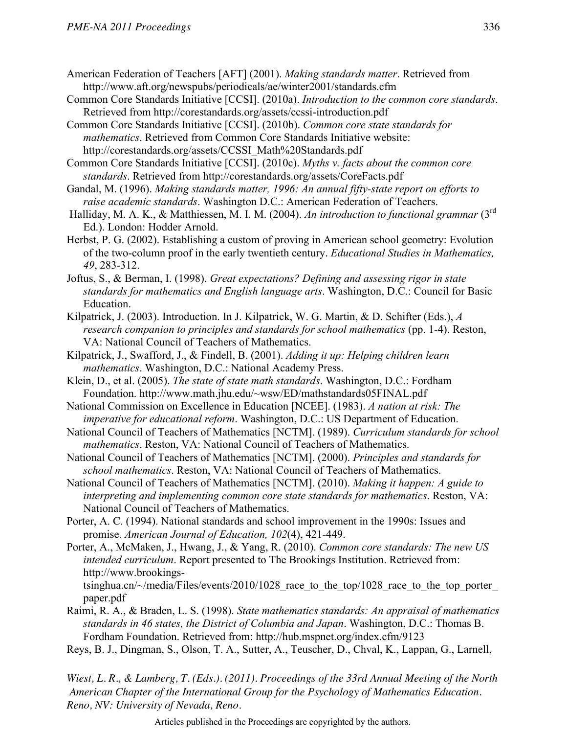- American Federation of Teachers [AFT] (2001). *Making standards matter*. Retrieved from http://www.aft.org/newspubs/periodicals/ae/winter2001/standards.cfm
- Common Core Standards Initiative [CCSI]. (2010a). *Introduction to the common core standards*. Retrieved from http://corestandards.org/assets/ccssi-introduction.pdf
- Common Core Standards Initiative [CCSI]. (2010b). *Common core state standards for mathematics*. Retrieved from Common Core Standards Initiative website: http://corestandards.org/assets/CCSSI\_Math%20Standards.pdf
- Common Core Standards Initiative [CCSI]. (2010c). *Myths v. facts about the common core standards*. Retrieved from http://corestandards.org/assets/CoreFacts.pdf
- Gandal, M. (1996). *Making standards matter, 1996: An annual fifty-state report on efforts to raise academic standards*. Washington D.C.: American Federation of Teachers.
- Halliday, M. A. K., & Matthiessen, M. I. M. (2004). *An introduction to functional grammar* (3rd Ed.). London: Hodder Arnold.
- Herbst, P. G. (2002). Establishing a custom of proving in American school geometry: Evolution of the two-column proof in the early twentieth century. *Educational Studies in Mathematics, 49*, 283-312.
- Joftus, S., & Berman, I. (1998). *Great expectations? Defining and assessing rigor in state standards for mathematics and English language arts*. Washington, D.C.: Council for Basic Education.
- Kilpatrick, J. (2003). Introduction. In J. Kilpatrick, W. G. Martin, & D. Schifter (Eds.), *A research companion to principles and standards for school mathematics* (pp. 1-4). Reston, VA: National Council of Teachers of Mathematics.
- Kilpatrick, J., Swafford, J., & Findell, B. (2001). *Adding it up: Helping children learn mathematics*. Washington, D.C.: National Academy Press.
- Klein, D., et al. (2005). *The state of state math standards*. Washington, D.C.: Fordham Foundation. http://www.math.jhu.edu/~wsw/ED/mathstandards05FINAL.pdf
- National Commission on Excellence in Education [NCEE]. (1983). *A nation at risk: The imperative for educational reform*. Washington, D.C.: US Department of Education.
- National Council of Teachers of Mathematics [NCTM]. (1989). *Curriculum standards for school mathematics*. Reston, VA: National Council of Teachers of Mathematics.
- National Council of Teachers of Mathematics [NCTM]. (2000). *Principles and standards for school mathematics*. Reston, VA: National Council of Teachers of Mathematics.
- National Council of Teachers of Mathematics [NCTM]. (2010). *Making it happen: A guide to interpreting and implementing common core state standards for mathematics*. Reston, VA: National Council of Teachers of Mathematics.
- Porter, A. C. (1994). National standards and school improvement in the 1990s: Issues and promise. *American Journal of Education, 102*(4), 421-449.
- Porter, A., McMaken, J., Hwang, J., & Yang, R. (2010). *Common core standards: The new US intended curriculum*. Report presented to The Brookings Institution. Retrieved from: http://www.brookings
	- tsinghua.cn/ $\sim$ /media/Files/events/2010/1028 race to the top/1028 race to the top porter paper.pdf
- Raimi, R. A., & Braden, L. S. (1998). *State mathematics standards: An appraisal of mathematics standards in 46 states, the District of Columbia and Japan*. Washington, D.C.: Thomas B. Fordham Foundation. Retrieved from: http://hub.mspnet.org/index.cfm/9123
- Reys, B. J., Dingman, S., Olson, T. A., Sutter, A., Teuscher, D., Chval, K., Lappan, G., Larnell,

*Wiest, L. R., & Lamberg, T. (Eds.). (2011). Proceedings of the 33rd Annual Meeting of the North American Chapter of the International Group for the Psychology of Mathematics Education. Reno, NV: University of Nevada, Reno.*